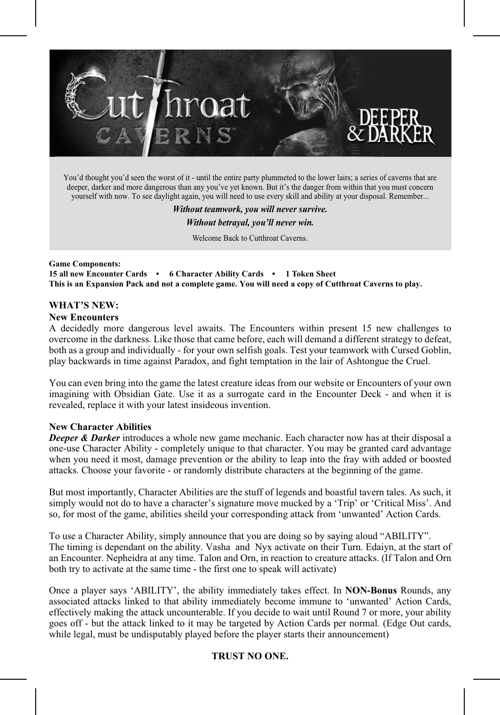

You'd thought you'd seen the worst of it - until the entire party plummeted to the lower lairs; a series of caverns that are deeper, darker and more dangerous than any you've yet known. But it's the danger from within that you must concern yourself with now. To see daylight again, you will need to use every skill and ability at your disposal. Remember...

> *Without teamwork, you will never survive. Without betrayal, you'll never win.* Welcome Back to Cutthroat Caverns.

**Game Components: 15 all new Encounter Cards • 6 Character Ability Cards • 1 Token Sheet This is an Expansion Pack and not a complete game. You will need a copy of Cutthroat Caverns to play.**

# **WHAT'S NEW:**

#### **New Encounters**

A decidedly more dangerous level awaits. The Encounters within present 15 new challenges to overcome in the darkness. Like those that came before, each will demand a different strategy to defeat, both as a group and individually - for your own selfish goals. Test your teamwork with Cursed Goblin, play backwards in time against Paradox, and fight temptation in the lair of Ashtongue the Cruel.

You can even bring into the game the latest creature ideas from our website or Encounters of your own imagining with Obsidian Gate. Use it as a surrogate card in the Encounter Deck - and when it is revealed, replace it with your latest insideous invention.

# **New Character Abilities**

*Deeper & Darker* introduces a whole new game mechanic. Each character now has at their disposal a one-use Character Ability - completely unique to that character. You may be granted card advantage when you need it most, damage prevention or the ability to leap into the fray with added or boosted attacks. Choose your favorite - or randomly distribute characters at the beginning of the game.

But most importantly, Character Abilities are the stuff of legends and boastful tavern tales. As such, it simply would not do to have a character's signature move mucked by a 'Trip' or 'Critical Miss'. And so, for most of the game, abilities sheild your corresponding attack from 'unwanted' Action Cards.

To use a Character Ability, simply announce that you are doing so by saying aloud "ABILITY". The timing is dependant on the ability. Vasha and Nyx activate on their Turn. Edaiyn, at the start of an Encounter. Nepheidra at any time. Talon and Orn, in reaction to creature attacks. (If Talon and Orn both try to activate at the same time - the first one to speak will activate)

Once a player says 'ABILITY', the ability immediately takes effect. In **NON-Bonus** Rounds, any associated attacks linked to that ability immediately become immune to 'unwanted' Action Cards, effectively making the attack uncounterable. If you decide to wait until Round 7 or more, your ability goes off - but the attack linked to it may be targeted by Action Cards per normal. (Edge Out cards, while legal, must be undisputably played before the player starts their announcement)

# **TRUST NO ONE.**